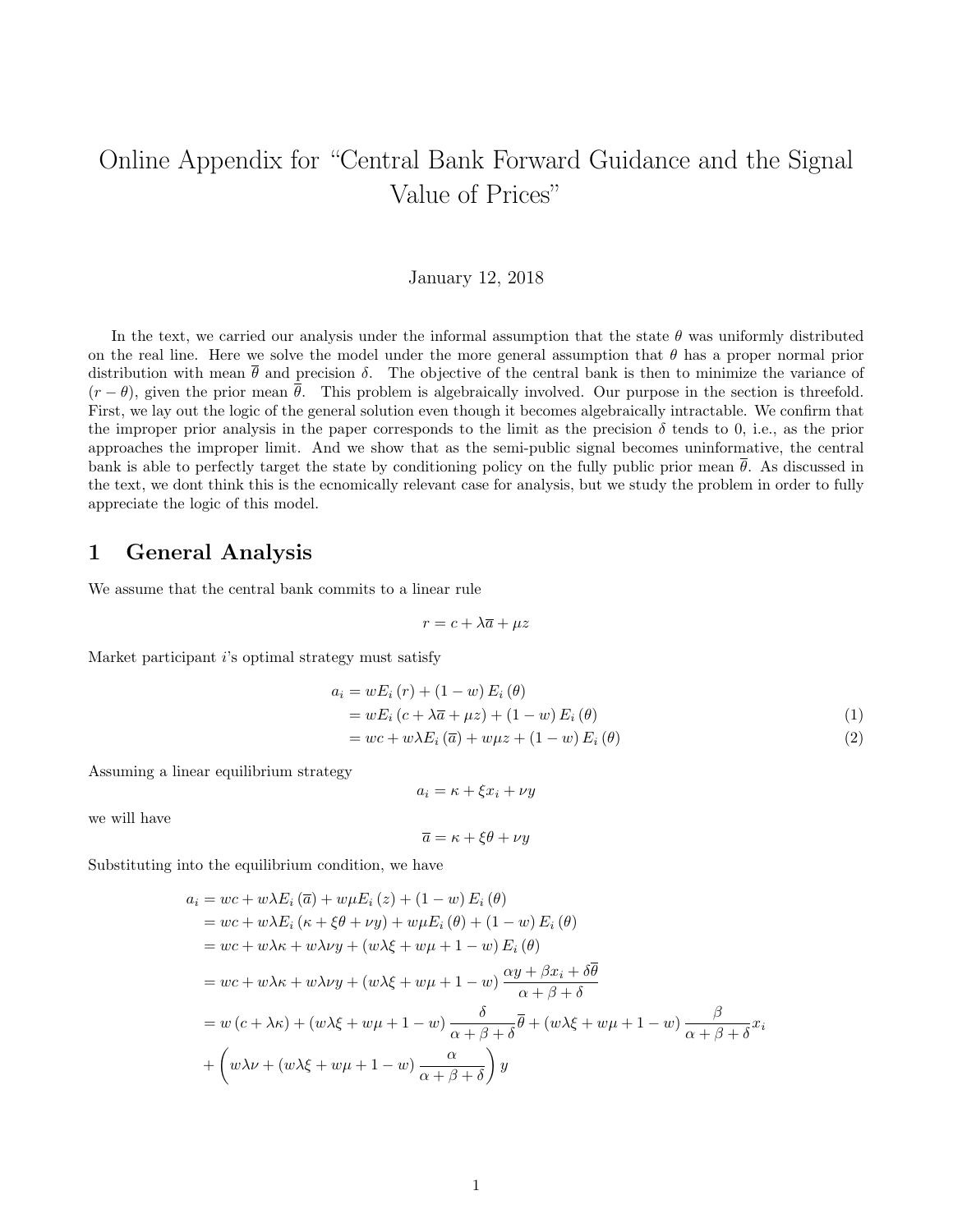## Online Appendix for "Central Bank Forward Guidance and the Signal Value of Prices"

January 12, 2018

In the text, we carried our analysis under the informal assumption that the state  $\theta$  was uniformly distributed on the real line. Here we solve the model under the more general assumption that  $\theta$  has a proper normal prior distribution with mean  $\bar{\theta}$  and precision  $\delta$ . The objective of the central bank is then to minimize the variance of  $(r - \theta)$ , given the prior mean  $\bar{\theta}$ . This problem is algebraically involved. Our purpose in the section is threefold. First, we lay out the logic of the general solution even though it becomes algebraically intractable. We confirm that the improper prior analysis in the paper corresponds to the limit as the precision  $\delta$  tends to 0, i.e., as the prior approaches the improper limit. And we show that as the semi-public signal becomes uninformative, the central bank is able to perfectly target the state by conditioning policy on the fully public prior mean  $\bar{\theta}$ . As discussed in the text, we dont think this is the ecnomically relevant case for analysis, but we study the problem in order to fully appreciate the logic of this model.

## 1 General Analysis

We assume that the central bank commits to a linear rule

$$
r = c + \lambda \overline{a} + \mu z
$$

Market participant i's optimal strategy must satisfy

$$
a_i = wE_i(r) + (1 - w)E_i(\theta)
$$
  
=  $wE_i(c + \lambda \overline{a} + \mu z) + (1 - w)E_i(\theta)$   
=  $wc + w\lambda E_i(\overline{a}) + w\mu z + (1 - w)E_i(\theta)$  (2)

Assuming a linear equilibrium strategy

$$
a_i = \kappa + \xi x_i + \nu y
$$

we will have

$$
\overline{a} = \kappa + \xi \theta + \nu y
$$

Substituting into the equilibrium condition, we have

$$
a_i = wc + w\lambda E_i (\overline{a}) + w\mu E_i (z) + (1 - w) E_i (\theta)
$$
  
= wc + w\lambda E\_i (\kappa + \xi\theta + \nu y) + w\mu E\_i (\theta) + (1 - w) E\_i (\theta)  
= wc + w\lambda\kappa + w\lambda\nu y + (w\lambda\xi + w\mu + 1 - w) E\_i (\theta)  
= wc + w\lambda\kappa + w\lambda\nu y + (w\lambda\xi + w\mu + 1 - w) \frac{\alpha y + \beta x\_i + \delta\overline{\theta}}{\alpha + \beta + \delta}  
= w (c + \lambda\kappa) + (w\lambda\xi + w\mu + 1 - w) \frac{\delta}{\alpha + \beta + \delta}\overline{\theta} + (w\lambda\xi + w\mu + 1 - w) \frac{\beta}{\alpha + \beta + \delta} x\_i  
+ \left(w\lambda\nu + (w\lambda\xi + w\mu + 1 - w) \frac{\alpha}{\alpha + \beta + \delta}\right)y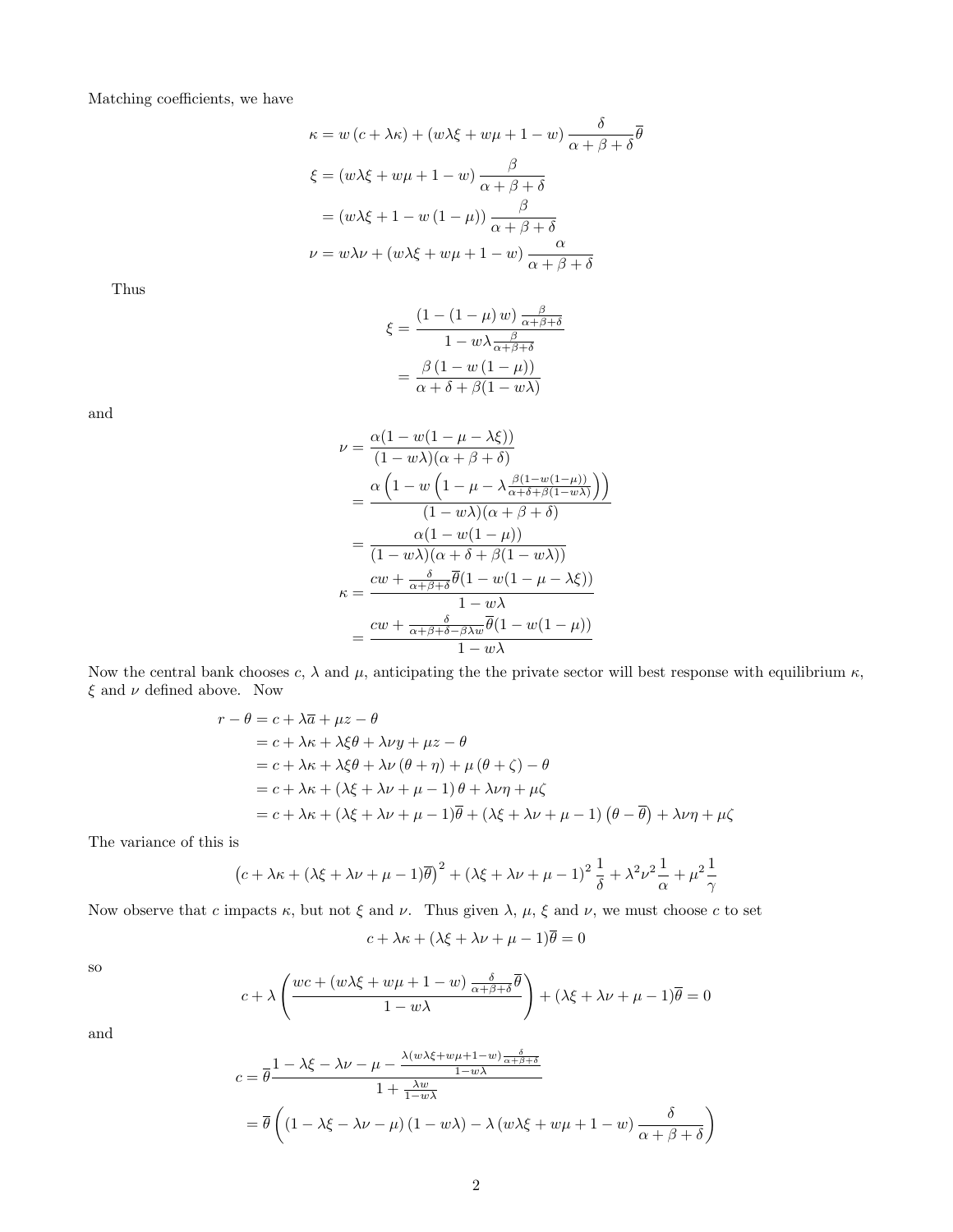Matching coefficients, we have

$$
\kappa = w (c + \lambda \kappa) + (w \lambda \xi + w\mu + 1 - w) \frac{\delta}{\alpha + \beta + \delta} \overline{\theta}
$$
  

$$
\xi = (w \lambda \xi + w\mu + 1 - w) \frac{\beta}{\alpha + \beta + \delta}
$$
  

$$
= (w \lambda \xi + 1 - w (1 - \mu)) \frac{\beta}{\alpha + \beta + \delta}
$$
  

$$
\nu = w \lambda \nu + (w \lambda \xi + w\mu + 1 - w) \frac{\alpha}{\alpha + \beta + \delta}
$$

Thus

$$
\xi = \frac{\left(1 - \left(1 - \mu\right)w\right)\frac{\beta}{\alpha + \beta + \delta}}{1 - w\lambda \frac{\beta}{\alpha + \beta + \delta}}
$$

$$
= \frac{\beta\left(1 - w\left(1 - \mu\right)\right)}{\alpha + \delta + \beta\left(1 - w\lambda\right)}
$$

and

$$
\nu = \frac{\alpha(1 - w(1 - \mu - \lambda\xi))}{(1 - w\lambda)(\alpha + \beta + \delta)}
$$
  
= 
$$
\frac{\alpha(1 - w(1 - \mu - \lambda\frac{\beta(1 - w(1 - \mu))}{\alpha + \delta + \beta(1 - w\lambda)}))}{(1 - w\lambda)(\alpha + \beta + \delta)}
$$
  
= 
$$
\frac{\alpha(1 - w(1 - \mu))}{(1 - w\lambda)(\alpha + \delta + \beta(1 - w\lambda))}
$$
  

$$
\kappa = \frac{cw + \frac{\delta}{\alpha + \beta + \delta}\overline{\theta}(1 - w(1 - \mu - \lambda\xi))}{1 - w\lambda}
$$
  
= 
$$
\frac{cw + \frac{\delta}{\alpha + \beta + \delta - \beta\lambda w}\overline{\theta}(1 - w(1 - \mu))}{1 - w\lambda}
$$

Now the central bank chooses c,  $\lambda$  and  $\mu$ , anticipating the the private sector will best response with equilibrium  $\kappa$ ,  $\xi$  and  $\nu$  <br>defined above. <br> Now

$$
r - \theta = c + \lambda \overline{a} + \mu z - \theta
$$
  
= c + \lambda \kappa + \lambda \xi \theta + \lambda \nu y + \mu z - \theta  
= c + \lambda \kappa + \lambda \xi \theta + \lambda \nu (\theta + \eta) + \mu (\theta + \zeta) - \theta  
= c + \lambda \kappa + (\lambda \xi + \lambda \nu + \mu - 1) \theta + \lambda \nu \eta + \mu \zeta  
= c + \lambda \kappa + (\lambda \xi + \lambda \nu + \mu - 1) \overline{\theta} + (\lambda \xi + \lambda \nu + \mu - 1) (\theta - \overline{\theta}) + \lambda \nu \eta + \mu \zeta

The variance of this is

$$
(c + \lambda\kappa + (\lambda\xi + \lambda\nu + \mu - 1)\overline{\theta})^2 + (\lambda\xi + \lambda\nu + \mu - 1)^2\frac{1}{\delta} + \lambda^2\nu^2\frac{1}{\alpha} + \mu^2\frac{1}{\gamma}
$$

Now observe that c impacts  $\kappa$ , but not  $\xi$  and  $\nu$ . Thus given  $\lambda$ ,  $\mu$ ,  $\xi$  and  $\nu$ , we must choose c to set

$$
c + \lambda \kappa + (\lambda \xi + \lambda \nu + \mu - 1)\theta = 0
$$

so

$$
c + \lambda \left( \frac{wc + (w\lambda\xi + w\mu + 1 - w) \frac{\delta}{\alpha + \beta + \delta} \overline{\theta}}{1 - w\lambda} \right) + (\lambda\xi + \lambda\nu + \mu - 1)\overline{\theta} = 0
$$

and

$$
c = \overline{\theta} \frac{1 - \lambda \xi - \lambda \nu - \mu - \frac{\lambda (w \lambda \xi + w \mu + 1 - w) \frac{\delta}{\alpha + \beta + \delta}}{1 - w \lambda}}{1 + \frac{\lambda w}{1 - w \lambda}}
$$
  
=  $\overline{\theta} \left( \left( 1 - \lambda \xi - \lambda \nu - \mu \right) \left( 1 - w \lambda \right) - \lambda \left( w \lambda \xi + w \mu + 1 - w \right) \frac{\delta}{\alpha + \beta + \delta} \right)$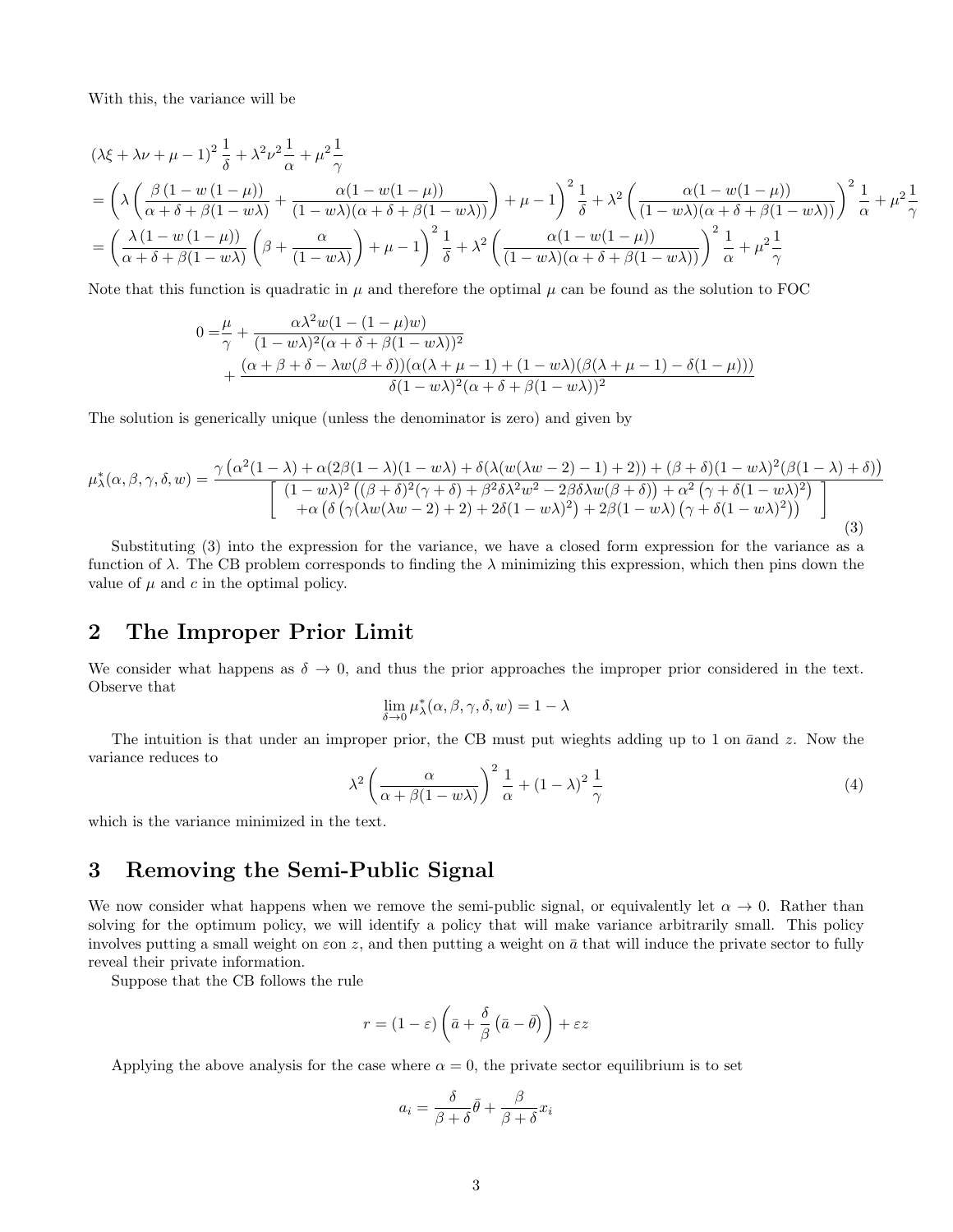With this, the variance will be

$$
(\lambda\xi + \lambda\nu + \mu - 1)^2 \frac{1}{\delta} + \lambda^2 \nu^2 \frac{1}{\alpha} + \mu^2 \frac{1}{\gamma}
$$
  
=  $\left(\lambda \left(\frac{\beta(1 - w(1 - \mu))}{\alpha + \delta + \beta(1 - w\lambda)} + \frac{\alpha(1 - w(1 - \mu))}{(1 - w\lambda)(\alpha + \delta + \beta(1 - w\lambda))}\right) + \mu - 1\right)^2 \frac{1}{\delta} + \lambda^2 \left(\frac{\alpha(1 - w(1 - \mu))}{(1 - w\lambda)(\alpha + \delta + \beta(1 - w\lambda))}\right)^2 \frac{1}{\alpha} + \mu^2 \frac{1}{\gamma}$   
=  $\left(\frac{\lambda(1 - w(1 - \mu))}{\alpha + \delta + \beta(1 - w\lambda)} \left(\beta + \frac{\alpha}{(1 - w\lambda)}\right) + \mu - 1\right)^2 \frac{1}{\delta} + \lambda^2 \left(\frac{\alpha(1 - w(1 - \mu))}{(1 - w\lambda)(\alpha + \delta + \beta(1 - w\lambda))}\right)^2 \frac{1}{\alpha} + \mu^2 \frac{1}{\gamma}$ 

Note that this function is quadratic in  $\mu$  and therefore the optimal  $\mu$  can be found as the solution to FOC

$$
0 = \frac{\mu}{\gamma} + \frac{\alpha \lambda^2 w (1 - (1 - \mu) w)}{(1 - w\lambda)^2 (\alpha + \delta + \beta(1 - w\lambda))^2} + \frac{(\alpha + \beta + \delta - \lambda w (\beta + \delta)) (\alpha (\lambda + \mu - 1) + (1 - w\lambda) (\beta(\lambda + \mu - 1) - \delta(1 - \mu)))}{\delta (1 - w\lambda)^2 (\alpha + \delta + \beta(1 - w\lambda))^2}
$$

The solution is generically unique (unless the denominator is zero) and given by

$$
\mu_{\lambda}^{*}(\alpha,\beta,\gamma,\delta,w) = \frac{\gamma(\alpha^{2}(1-\lambda)+\alpha(2\beta(1-\lambda)(1-w\lambda)+\delta(\lambda(w(\lambda w-2)-1)+2)) + (\beta+\delta)(1-w\lambda)^{2}(\beta(1-\lambda)+\delta))}{\left[\frac{(1-w\lambda)^{2}((\beta+\delta)^{2}(\gamma+\delta)+\beta^{2}\delta\lambda^{2}w^{2}-2\beta\delta\lambda w(\beta+\delta))+\alpha^{2}(\gamma+\delta(1-w\lambda)^{2})}{+\alpha(\delta(\gamma(\lambda w(\lambda w-2)+2)+2\delta(1-w\lambda)^{2})+2\beta(1-w\lambda)(\gamma+\delta(1-w\lambda)^{2}))}\right]}
$$
(3)

Substituting (3) into the expression for the variance, we have a closed form expression for the variance as a function of  $\lambda$ . The CB problem corresponds to finding the  $\lambda$  minimizing this expression, which then pins down the value of  $\mu$  and  $c$  in the optimal policy.

## 2 The Improper Prior Limit

We consider what happens as  $\delta \to 0$ , and thus the prior approaches the improper prior considered in the text. Observe that

$$
\lim_{\delta \to 0} \mu_{\lambda}^*(\alpha, \beta, \gamma, \delta, w) = 1 - \lambda
$$

The intuition is that under an improper prior, the CB must put wieghts adding up to 1 on  $\bar{a}$ and z. Now the variance reduces to

$$
\lambda^2 \left( \frac{\alpha}{\alpha + \beta (1 - w\lambda)} \right)^2 \frac{1}{\alpha} + (1 - \lambda)^2 \frac{1}{\gamma}
$$
 (4)

which is the variance minimized in the text.

## 3 Removing the Semi-Public Signal

We now consider what happens when we remove the semi-public signal, or equivalently let  $\alpha \to 0$ . Rather than solving for the optimum policy, we will identify a policy that will make variance arbitrarily small. This policy involves putting a small weight on  $\varepsilon$  and then putting a weight on  $\bar{a}$  that will induce the private sector to fully reveal their private information.

Suppose that the CB follows the rule

$$
r = (1 - \varepsilon) \left( \bar{a} + \frac{\delta}{\beta} \left( \bar{a} - \bar{\theta} \right) \right) + \varepsilon z
$$

Applying the above analysis for the case where  $\alpha = 0$ , the private sector equilibrium is to set

$$
a_i = \frac{\delta}{\beta + \delta} \bar{\theta} + \frac{\beta}{\beta + \delta} x_i
$$